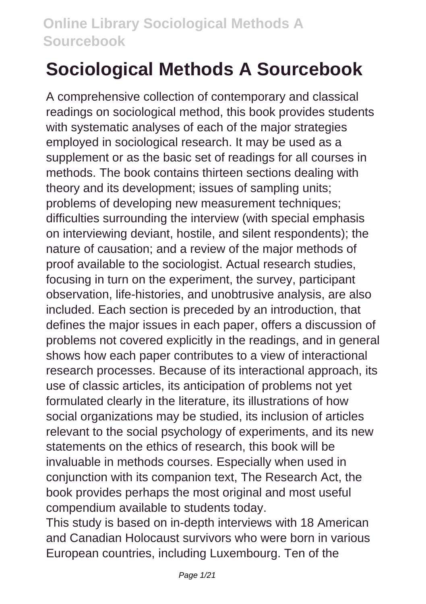# **Sociological Methods A Sourcebook**

A comprehensive collection of contemporary and classical readings on sociological method, this book provides students with systematic analyses of each of the major strategies employed in sociological research. It may be used as a supplement or as the basic set of readings for all courses in methods. The book contains thirteen sections dealing with theory and its development; issues of sampling units; problems of developing new measurement techniques; difficulties surrounding the interview (with special emphasis on interviewing deviant, hostile, and silent respondents); the nature of causation; and a review of the major methods of proof available to the sociologist. Actual research studies, focusing in turn on the experiment, the survey, participant observation, life-histories, and unobtrusive analysis, are also included. Each section is preceded by an introduction, that defines the major issues in each paper, offers a discussion of problems not covered explicitly in the readings, and in general shows how each paper contributes to a view of interactional research processes. Because of its interactional approach, its use of classic articles, its anticipation of problems not yet formulated clearly in the literature, its illustrations of how social organizations may be studied, its inclusion of articles relevant to the social psychology of experiments, and its new statements on the ethics of research, this book will be invaluable in methods courses. Especially when used in conjunction with its companion text, The Research Act, the book provides perhaps the most original and most useful compendium available to students today.

This study is based on in-depth interviews with 18 American and Canadian Holocaust survivors who were born in various European countries, including Luxembourg. Ten of the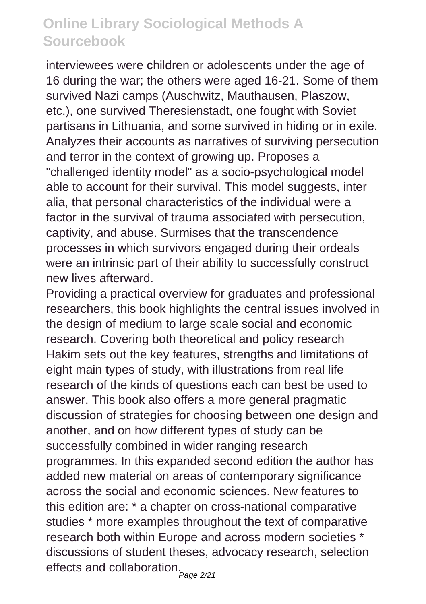interviewees were children or adolescents under the age of 16 during the war; the others were aged 16-21. Some of them survived Nazi camps (Auschwitz, Mauthausen, Plaszow, etc.), one survived Theresienstadt, one fought with Soviet partisans in Lithuania, and some survived in hiding or in exile. Analyzes their accounts as narratives of surviving persecution and terror in the context of growing up. Proposes a "challenged identity model" as a socio-psychological model able to account for their survival. This model suggests, inter alia, that personal characteristics of the individual were a factor in the survival of trauma associated with persecution, captivity, and abuse. Surmises that the transcendence processes in which survivors engaged during their ordeals were an intrinsic part of their ability to successfully construct new lives afterward.

Providing a practical overview for graduates and professional researchers, this book highlights the central issues involved in the design of medium to large scale social and economic research. Covering both theoretical and policy research Hakim sets out the key features, strengths and limitations of eight main types of study, with illustrations from real life research of the kinds of questions each can best be used to answer. This book also offers a more general pragmatic discussion of strategies for choosing between one design and another, and on how different types of study can be successfully combined in wider ranging research programmes. In this expanded second edition the author has added new material on areas of contemporary significance across the social and economic sciences. New features to this edition are: \* a chapter on cross-national comparative studies \* more examples throughout the text of comparative research both within Europe and across modern societies \* discussions of student theses, advocacy research, selection effects and collaboration.<sub>Page 2/21</sub>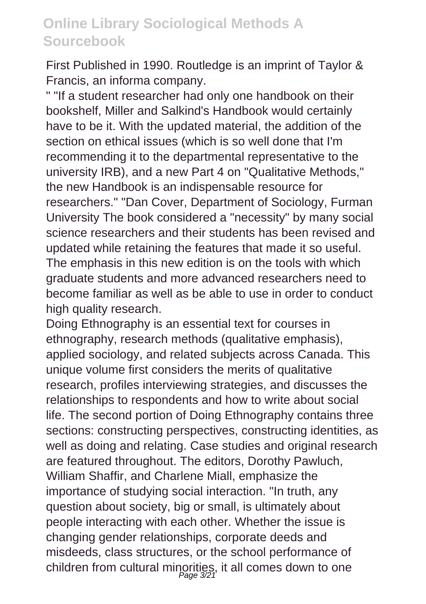First Published in 1990. Routledge is an imprint of Taylor & Francis, an informa company.

" "If a student researcher had only one handbook on their bookshelf, Miller and Salkind's Handbook would certainly have to be it. With the updated material, the addition of the section on ethical issues (which is so well done that I'm recommending it to the departmental representative to the university IRB), and a new Part 4 on "Qualitative Methods," the new Handbook is an indispensable resource for researchers." "Dan Cover, Department of Sociology, Furman University The book considered a "necessity" by many social science researchers and their students has been revised and updated while retaining the features that made it so useful. The emphasis in this new edition is on the tools with which graduate students and more advanced researchers need to become familiar as well as be able to use in order to conduct high quality research.

Doing Ethnography is an essential text for courses in ethnography, research methods (qualitative emphasis), applied sociology, and related subjects across Canada. This unique volume first considers the merits of qualitative research, profiles interviewing strategies, and discusses the relationships to respondents and how to write about social life. The second portion of Doing Ethnography contains three sections: constructing perspectives, constructing identities, as well as doing and relating. Case studies and original research are featured throughout. The editors, Dorothy Pawluch, William Shaffir, and Charlene Miall, emphasize the importance of studying social interaction. "In truth, any question about society, big or small, is ultimately about people interacting with each other. Whether the issue is changing gender relationships, corporate deeds and misdeeds, class structures, or the school performance of children from cultural minorities, it all comes down to one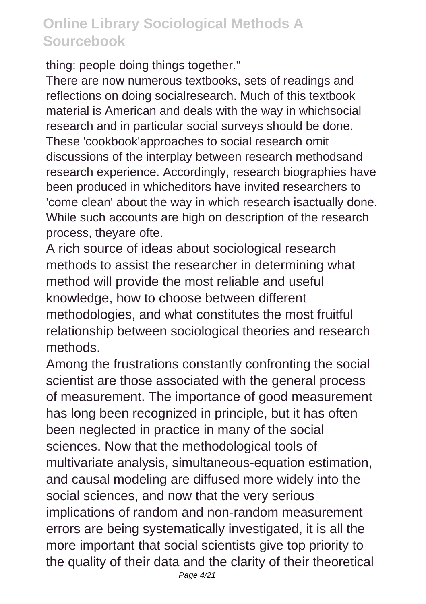thing: people doing things together."

There are now numerous textbooks, sets of readings and reflections on doing socialresearch. Much of this textbook material is American and deals with the way in whichsocial research and in particular social surveys should be done. These 'cookbook'approaches to social research omit discussions of the interplay between research methodsand research experience. Accordingly, research biographies have been produced in whicheditors have invited researchers to 'come clean' about the way in which research isactually done. While such accounts are high on description of the research process, theyare ofte.

A rich source of ideas about sociological research methods to assist the researcher in determining what method will provide the most reliable and useful knowledge, how to choose between different methodologies, and what constitutes the most fruitful relationship between sociological theories and research methods.

Among the frustrations constantly confronting the social scientist are those associated with the general process of measurement. The importance of good measurement has long been recognized in principle, but it has often been neglected in practice in many of the social sciences. Now that the methodological tools of multivariate analysis, simultaneous-equation estimation, and causal modeling are diffused more widely into the social sciences, and now that the very serious implications of random and non-random measurement errors are being systematically investigated, it is all the more important that social scientists give top priority to the quality of their data and the clarity of their theoretical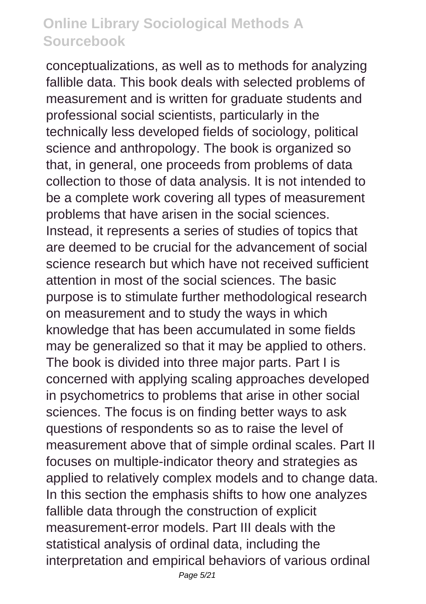conceptualizations, as well as to methods for analyzing fallible data. This book deals with selected problems of measurement and is written for graduate students and professional social scientists, particularly in the technically less developed fields of sociology, political science and anthropology. The book is organized so that, in general, one proceeds from problems of data collection to those of data analysis. It is not intended to be a complete work covering all types of measurement problems that have arisen in the social sciences. Instead, it represents a series of studies of topics that are deemed to be crucial for the advancement of social science research but which have not received sufficient attention in most of the social sciences. The basic purpose is to stimulate further methodological research on measurement and to study the ways in which knowledge that has been accumulated in some fields may be generalized so that it may be applied to others. The book is divided into three major parts. Part I is concerned with applying scaling approaches developed in psychometrics to problems that arise in other social sciences. The focus is on finding better ways to ask questions of respondents so as to raise the level of measurement above that of simple ordinal scales. Part II focuses on multiple-indicator theory and strategies as applied to relatively complex models and to change data. In this section the emphasis shifts to how one analyzes fallible data through the construction of explicit measurement-error models. Part III deals with the statistical analysis of ordinal data, including the interpretation and empirical behaviors of various ordinal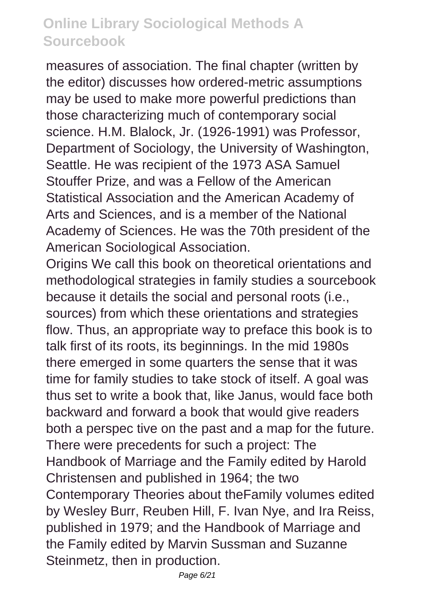measures of association. The final chapter (written by the editor) discusses how ordered-metric assumptions may be used to make more powerful predictions than those characterizing much of contemporary social science. H.M. Blalock, Jr. (1926-1991) was Professor, Department of Sociology, the University of Washington, Seattle. He was recipient of the 1973 ASA Samuel Stouffer Prize, and was a Fellow of the American Statistical Association and the American Academy of Arts and Sciences, and is a member of the National Academy of Sciences. He was the 70th president of the American Sociological Association.

Origins We call this book on theoretical orientations and methodological strategies in family studies a sourcebook because it details the social and personal roots (i.e., sources) from which these orientations and strategies flow. Thus, an appropriate way to preface this book is to talk first of its roots, its beginnings. In the mid 1980s there emerged in some quarters the sense that it was time for family studies to take stock of itself. A goal was thus set to write a book that, like Janus, would face both backward and forward a book that would give readers both a perspec tive on the past and a map for the future. There were precedents for such a project: The Handbook of Marriage and the Family edited by Harold Christensen and published in 1964; the two Contemporary Theories about theFamily volumes edited by Wesley Burr, Reuben Hill, F. Ivan Nye, and Ira Reiss, published in 1979; and the Handbook of Marriage and the Family edited by Marvin Sussman and Suzanne Steinmetz, then in production.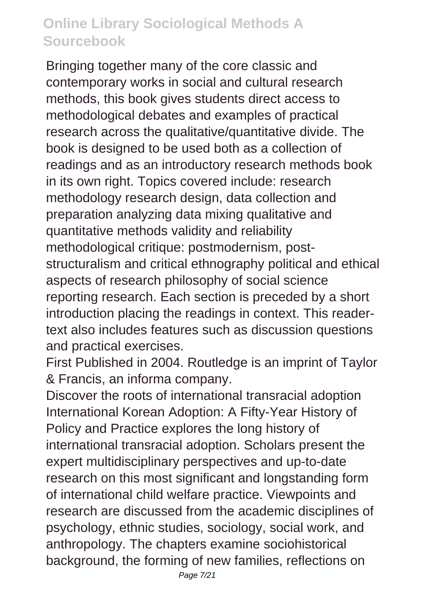Bringing together many of the core classic and contemporary works in social and cultural research methods, this book gives students direct access to methodological debates and examples of practical research across the qualitative/quantitative divide. The book is designed to be used both as a collection of readings and as an introductory research methods book in its own right. Topics covered include: research methodology research design, data collection and preparation analyzing data mixing qualitative and quantitative methods validity and reliability methodological critique: postmodernism, poststructuralism and critical ethnography political and ethical aspects of research philosophy of social science reporting research. Each section is preceded by a short introduction placing the readings in context. This readertext also includes features such as discussion questions and practical exercises.

First Published in 2004. Routledge is an imprint of Taylor & Francis, an informa company.

Discover the roots of international transracial adoption International Korean Adoption: A Fifty-Year History of Policy and Practice explores the long history of international transracial adoption. Scholars present the expert multidisciplinary perspectives and up-to-date research on this most significant and longstanding form of international child welfare practice. Viewpoints and research are discussed from the academic disciplines of psychology, ethnic studies, sociology, social work, and anthropology. The chapters examine sociohistorical background, the forming of new families, reflections on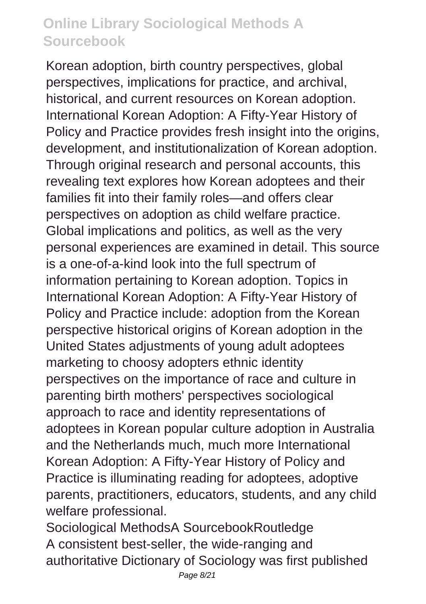Korean adoption, birth country perspectives, global perspectives, implications for practice, and archival, historical, and current resources on Korean adoption. International Korean Adoption: A Fifty-Year History of Policy and Practice provides fresh insight into the origins, development, and institutionalization of Korean adoption. Through original research and personal accounts, this revealing text explores how Korean adoptees and their families fit into their family roles—and offers clear perspectives on adoption as child welfare practice. Global implications and politics, as well as the very personal experiences are examined in detail. This source is a one-of-a-kind look into the full spectrum of information pertaining to Korean adoption. Topics in International Korean Adoption: A Fifty-Year History of Policy and Practice include: adoption from the Korean perspective historical origins of Korean adoption in the United States adjustments of young adult adoptees marketing to choosy adopters ethnic identity perspectives on the importance of race and culture in parenting birth mothers' perspectives sociological approach to race and identity representations of adoptees in Korean popular culture adoption in Australia and the Netherlands much, much more International Korean Adoption: A Fifty-Year History of Policy and Practice is illuminating reading for adoptees, adoptive parents, practitioners, educators, students, and any child welfare professional.

Sociological MethodsA SourcebookRoutledge A consistent best-seller, the wide-ranging and authoritative Dictionary of Sociology was first published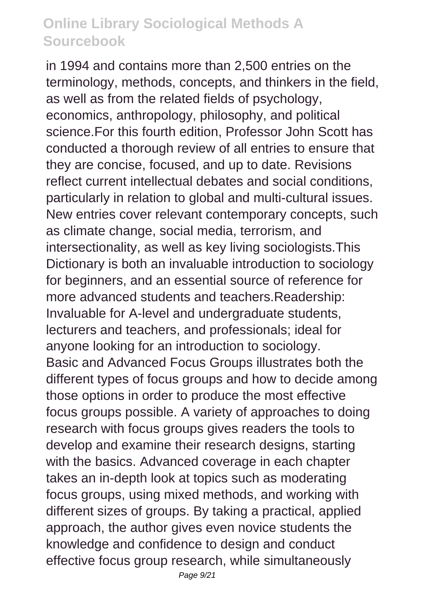in 1994 and contains more than 2,500 entries on the terminology, methods, concepts, and thinkers in the field, as well as from the related fields of psychology, economics, anthropology, philosophy, and political science.For this fourth edition, Professor John Scott has conducted a thorough review of all entries to ensure that they are concise, focused, and up to date. Revisions reflect current intellectual debates and social conditions, particularly in relation to global and multi-cultural issues. New entries cover relevant contemporary concepts, such as climate change, social media, terrorism, and intersectionality, as well as key living sociologists.This Dictionary is both an invaluable introduction to sociology for beginners, and an essential source of reference for more advanced students and teachers.Readership: Invaluable for A-level and undergraduate students, lecturers and teachers, and professionals; ideal for anyone looking for an introduction to sociology. Basic and Advanced Focus Groups illustrates both the different types of focus groups and how to decide among those options in order to produce the most effective focus groups possible. A variety of approaches to doing research with focus groups gives readers the tools to develop and examine their research designs, starting with the basics. Advanced coverage in each chapter takes an in-depth look at topics such as moderating focus groups, using mixed methods, and working with different sizes of groups. By taking a practical, applied approach, the author gives even novice students the knowledge and confidence to design and conduct effective focus group research, while simultaneously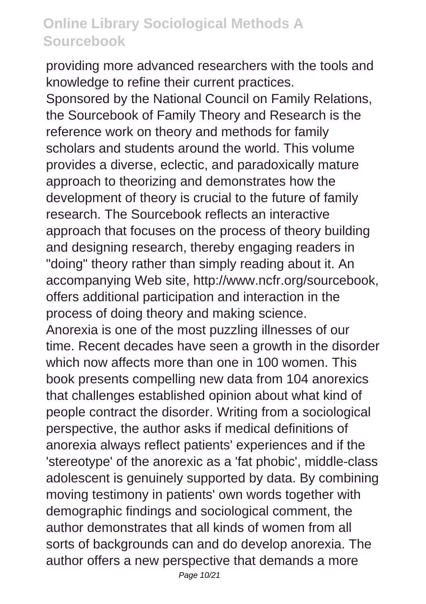providing more advanced researchers with the tools and knowledge to refine their current practices. Sponsored by the National Council on Family Relations, the Sourcebook of Family Theory and Research is the reference work on theory and methods for family scholars and students around the world. This volume provides a diverse, eclectic, and paradoxically mature approach to theorizing and demonstrates how the development of theory is crucial to the future of family research. The Sourcebook reflects an interactive approach that focuses on the process of theory building and designing research, thereby engaging readers in "doing" theory rather than simply reading about it. An accompanying Web site, http://www.ncfr.org/sourcebook, offers additional participation and interaction in the process of doing theory and making science. Anorexia is one of the most puzzling illnesses of our time. Recent decades have seen a growth in the disorder which now affects more than one in 100 women. This book presents compelling new data from 104 anorexics that challenges established opinion about what kind of people contract the disorder. Writing from a sociological perspective, the author asks if medical definitions of anorexia always reflect patients' experiences and if the 'stereotype' of the anorexic as a 'fat phobic', middle-class adolescent is genuinely supported by data. By combining moving testimony in patients' own words together with demographic findings and sociological comment, the author demonstrates that all kinds of women from all sorts of backgrounds can and do develop anorexia. The author offers a new perspective that demands a more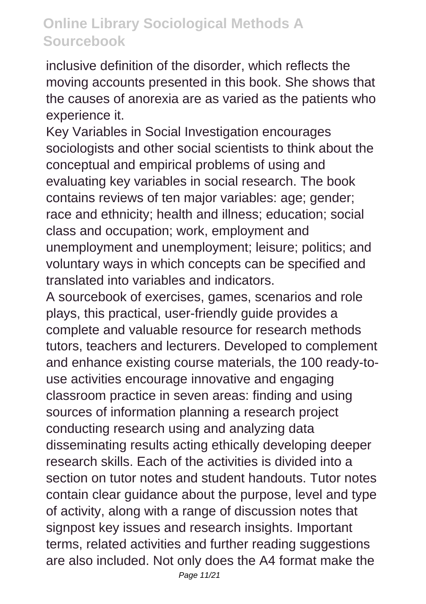inclusive definition of the disorder, which reflects the moving accounts presented in this book. She shows that the causes of anorexia are as varied as the patients who experience it.

Key Variables in Social Investigation encourages sociologists and other social scientists to think about the conceptual and empirical problems of using and evaluating key variables in social research. The book contains reviews of ten major variables: age; gender; race and ethnicity; health and illness; education; social class and occupation; work, employment and unemployment and unemployment; leisure; politics; and voluntary ways in which concepts can be specified and translated into variables and indicators.

A sourcebook of exercises, games, scenarios and role plays, this practical, user-friendly guide provides a complete and valuable resource for research methods tutors, teachers and lecturers. Developed to complement and enhance existing course materials, the 100 ready-touse activities encourage innovative and engaging classroom practice in seven areas: finding and using sources of information planning a research project conducting research using and analyzing data disseminating results acting ethically developing deeper research skills. Each of the activities is divided into a section on tutor notes and student handouts. Tutor notes contain clear guidance about the purpose, level and type of activity, along with a range of discussion notes that signpost key issues and research insights. Important terms, related activities and further reading suggestions are also included. Not only does the A4 format make the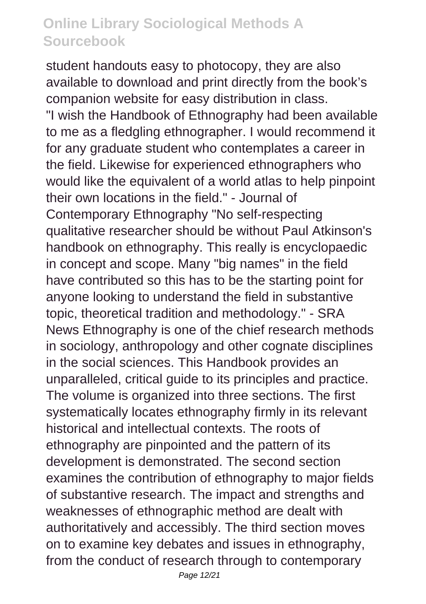student handouts easy to photocopy, they are also available to download and print directly from the book's companion website for easy distribution in class. "I wish the Handbook of Ethnography had been available to me as a fledgling ethnographer. I would recommend it for any graduate student who contemplates a career in the field. Likewise for experienced ethnographers who would like the equivalent of a world atlas to help pinpoint their own locations in the field." - Journal of Contemporary Ethnography "No self-respecting qualitative researcher should be without Paul Atkinson's handbook on ethnography. This really is encyclopaedic in concept and scope. Many "big names" in the field have contributed so this has to be the starting point for anyone looking to understand the field in substantive topic, theoretical tradition and methodology." - SRA News Ethnography is one of the chief research methods in sociology, anthropology and other cognate disciplines in the social sciences. This Handbook provides an unparalleled, critical guide to its principles and practice. The volume is organized into three sections. The first systematically locates ethnography firmly in its relevant historical and intellectual contexts. The roots of ethnography are pinpointed and the pattern of its development is demonstrated. The second section examines the contribution of ethnography to major fields of substantive research. The impact and strengths and weaknesses of ethnographic method are dealt with authoritatively and accessibly. The third section moves on to examine key debates and issues in ethnography, from the conduct of research through to contemporary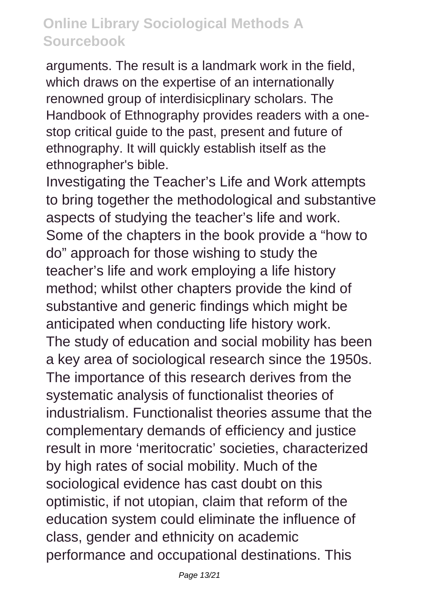arguments. The result is a landmark work in the field, which draws on the expertise of an internationally renowned group of interdisicplinary scholars. The Handbook of Ethnography provides readers with a onestop critical guide to the past, present and future of ethnography. It will quickly establish itself as the ethnographer's bible.

Investigating the Teacher's Life and Work attempts to bring together the methodological and substantive aspects of studying the teacher's life and work. Some of the chapters in the book provide a "how to do" approach for those wishing to study the teacher's life and work employing a life history method; whilst other chapters provide the kind of substantive and generic findings which might be anticipated when conducting life history work. The study of education and social mobility has been a key area of sociological research since the 1950s. The importance of this research derives from the systematic analysis of functionalist theories of industrialism. Functionalist theories assume that the complementary demands of efficiency and justice result in more 'meritocratic' societies, characterized by high rates of social mobility. Much of the sociological evidence has cast doubt on this optimistic, if not utopian, claim that reform of the education system could eliminate the influence of class, gender and ethnicity on academic performance and occupational destinations. This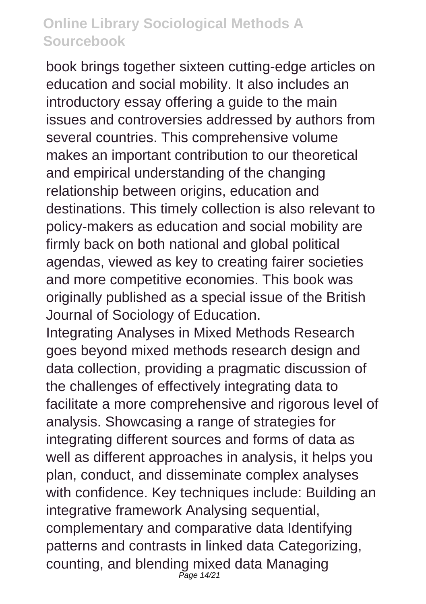book brings together sixteen cutting-edge articles on education and social mobility. It also includes an introductory essay offering a guide to the main issues and controversies addressed by authors from several countries. This comprehensive volume makes an important contribution to our theoretical and empirical understanding of the changing relationship between origins, education and destinations. This timely collection is also relevant to policy-makers as education and social mobility are firmly back on both national and global political agendas, viewed as key to creating fairer societies and more competitive economies. This book was originally published as a special issue of the British Journal of Sociology of Education.

Integrating Analyses in Mixed Methods Research goes beyond mixed methods research design and data collection, providing a pragmatic discussion of the challenges of effectively integrating data to facilitate a more comprehensive and rigorous level of analysis. Showcasing a range of strategies for integrating different sources and forms of data as well as different approaches in analysis, it helps you plan, conduct, and disseminate complex analyses with confidence. Key techniques include: Building an integrative framework Analysing sequential, complementary and comparative data Identifying patterns and contrasts in linked data Categorizing, counting, and blending mixed data Managing Page 14/21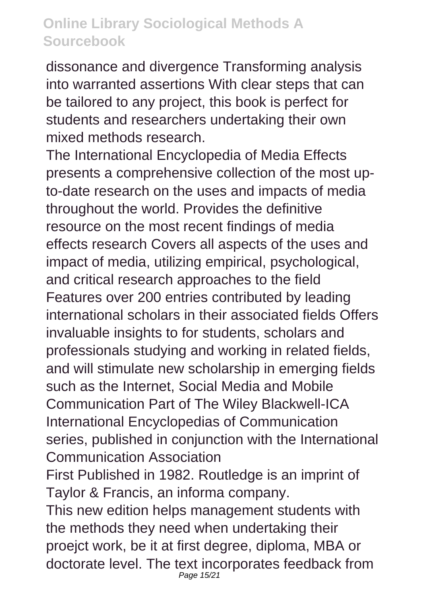dissonance and divergence Transforming analysis into warranted assertions With clear steps that can be tailored to any project, this book is perfect for students and researchers undertaking their own mixed methods research.

The International Encyclopedia of Media Effects presents a comprehensive collection of the most upto-date research on the uses and impacts of media throughout the world. Provides the definitive resource on the most recent findings of media effects research Covers all aspects of the uses and impact of media, utilizing empirical, psychological, and critical research approaches to the field Features over 200 entries contributed by leading international scholars in their associated fields Offers invaluable insights to for students, scholars and professionals studying and working in related fields, and will stimulate new scholarship in emerging fields such as the Internet, Social Media and Mobile Communication Part of The Wiley Blackwell-ICA International Encyclopedias of Communication series, published in conjunction with the International Communication Association

First Published in 1982. Routledge is an imprint of Taylor & Francis, an informa company.

This new edition helps management students with the methods they need when undertaking their proejct work, be it at first degree, diploma, MBA or doctorate level. The text incorporates feedback from Page 15/21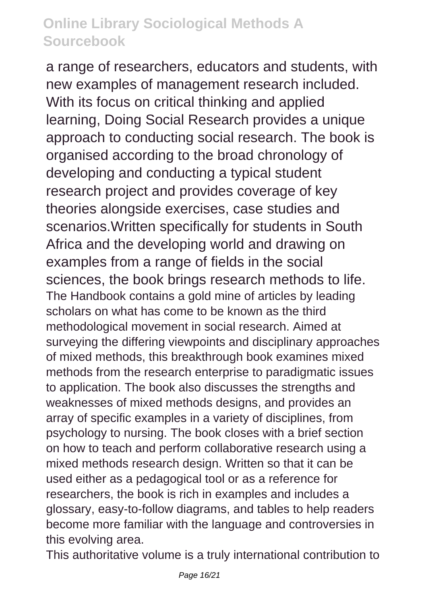a range of researchers, educators and students, with new examples of management research included. With its focus on critical thinking and applied learning, Doing Social Research provides a unique approach to conducting social research. The book is organised according to the broad chronology of developing and conducting a typical student research project and provides coverage of key theories alongside exercises, case studies and scenarios.Written specifically for students in South Africa and the developing world and drawing on examples from a range of fields in the social sciences, the book brings research methods to life. The Handbook contains a gold mine of articles by leading scholars on what has come to be known as the third methodological movement in social research. Aimed at surveying the differing viewpoints and disciplinary approaches of mixed methods, this breakthrough book examines mixed methods from the research enterprise to paradigmatic issues to application. The book also discusses the strengths and weaknesses of mixed methods designs, and provides an array of specific examples in a variety of disciplines, from psychology to nursing. The book closes with a brief section on how to teach and perform collaborative research using a mixed methods research design. Written so that it can be used either as a pedagogical tool or as a reference for researchers, the book is rich in examples and includes a glossary, easy-to-follow diagrams, and tables to help readers become more familiar with the language and controversies in this evolving area.

This authoritative volume is a truly international contribution to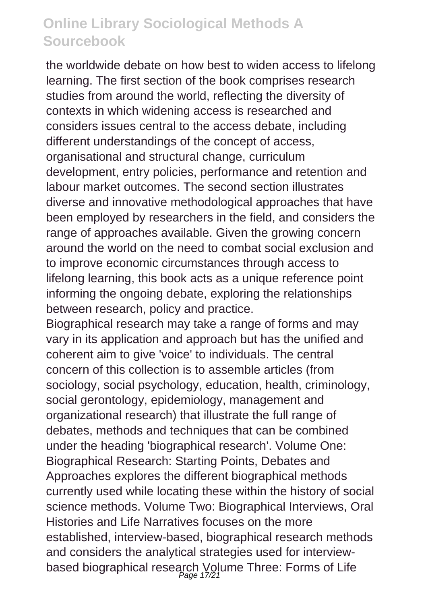the worldwide debate on how best to widen access to lifelong learning. The first section of the book comprises research studies from around the world, reflecting the diversity of contexts in which widening access is researched and considers issues central to the access debate, including different understandings of the concept of access, organisational and structural change, curriculum development, entry policies, performance and retention and labour market outcomes. The second section illustrates diverse and innovative methodological approaches that have been employed by researchers in the field, and considers the range of approaches available. Given the growing concern around the world on the need to combat social exclusion and to improve economic circumstances through access to lifelong learning, this book acts as a unique reference point informing the ongoing debate, exploring the relationships between research, policy and practice.

Biographical research may take a range of forms and may vary in its application and approach but has the unified and coherent aim to give 'voice' to individuals. The central concern of this collection is to assemble articles (from sociology, social psychology, education, health, criminology, social gerontology, epidemiology, management and organizational research) that illustrate the full range of debates, methods and techniques that can be combined under the heading 'biographical research'. Volume One: Biographical Research: Starting Points, Debates and Approaches explores the different biographical methods currently used while locating these within the history of social science methods. Volume Two: Biographical Interviews, Oral Histories and Life Narratives focuses on the more established, interview-based, biographical research methods and considers the analytical strategies used for interviewbased biographical research Volume Three: Forms of Life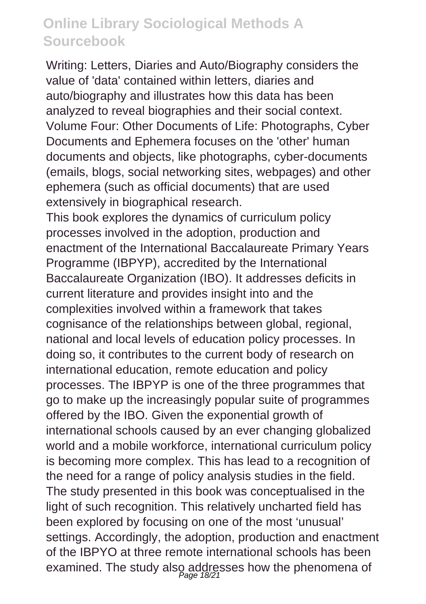Writing: Letters, Diaries and Auto/Biography considers the value of 'data' contained within letters, diaries and auto/biography and illustrates how this data has been analyzed to reveal biographies and their social context. Volume Four: Other Documents of Life: Photographs, Cyber Documents and Ephemera focuses on the 'other' human documents and objects, like photographs, cyber-documents (emails, blogs, social networking sites, webpages) and other ephemera (such as official documents) that are used extensively in biographical research.

This book explores the dynamics of curriculum policy processes involved in the adoption, production and enactment of the International Baccalaureate Primary Years Programme (IBPYP), accredited by the International Baccalaureate Organization (IBO). It addresses deficits in current literature and provides insight into and the complexities involved within a framework that takes cognisance of the relationships between global, regional, national and local levels of education policy processes. In doing so, it contributes to the current body of research on international education, remote education and policy processes. The IBPYP is one of the three programmes that go to make up the increasingly popular suite of programmes offered by the IBO. Given the exponential growth of international schools caused by an ever changing globalized world and a mobile workforce, international curriculum policy is becoming more complex. This has lead to a recognition of the need for a range of policy analysis studies in the field. The study presented in this book was conceptualised in the light of such recognition. This relatively uncharted field has been explored by focusing on one of the most 'unusual' settings. Accordingly, the adoption, production and enactment of the IBPYO at three remote international schools has been examined. The study also addresses how the phenomena of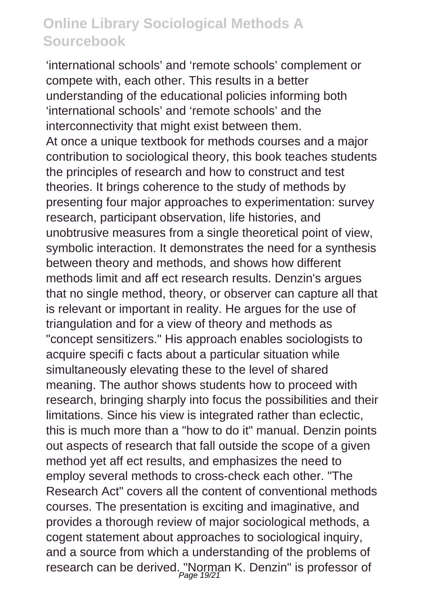'international schools' and 'remote schools' complement or compete with, each other. This results in a better understanding of the educational policies informing both 'international schools' and 'remote schools' and the interconnectivity that might exist between them. At once a unique textbook for methods courses and a major contribution to sociological theory, this book teaches students the principles of research and how to construct and test theories. It brings coherence to the study of methods by presenting four major approaches to experimentation: survey research, participant observation, life histories, and unobtrusive measures from a single theoretical point of view, symbolic interaction. It demonstrates the need for a synthesis between theory and methods, and shows how different methods limit and aff ect research results. Denzin's argues that no single method, theory, or observer can capture all that is relevant or important in reality. He argues for the use of triangulation and for a view of theory and methods as "concept sensitizers." His approach enables sociologists to acquire specifi c facts about a particular situation while simultaneously elevating these to the level of shared meaning. The author shows students how to proceed with research, bringing sharply into focus the possibilities and their limitations. Since his view is integrated rather than eclectic, this is much more than a "how to do it" manual. Denzin points out aspects of research that fall outside the scope of a given method yet aff ect results, and emphasizes the need to employ several methods to cross-check each other. "The Research Act" covers all the content of conventional methods courses. The presentation is exciting and imaginative, and provides a thorough review of major sociological methods, a cogent statement about approaches to sociological inquiry, and a source from which a understanding of the problems of research can be derived. "Norman K. Denzin" is professor of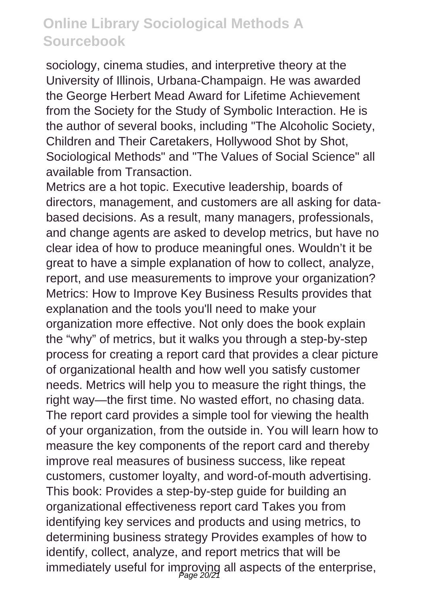sociology, cinema studies, and interpretive theory at the University of Illinois, Urbana-Champaign. He was awarded the George Herbert Mead Award for Lifetime Achievement from the Society for the Study of Symbolic Interaction. He is the author of several books, including "The Alcoholic Society, Children and Their Caretakers, Hollywood Shot by Shot, Sociological Methods" and "The Values of Social Science" all available from Transaction.

Metrics are a hot topic. Executive leadership, boards of directors, management, and customers are all asking for databased decisions. As a result, many managers, professionals, and change agents are asked to develop metrics, but have no clear idea of how to produce meaningful ones. Wouldn't it be great to have a simple explanation of how to collect, analyze, report, and use measurements to improve your organization? Metrics: How to Improve Key Business Results provides that explanation and the tools you'll need to make your organization more effective. Not only does the book explain the "why" of metrics, but it walks you through a step-by-step process for creating a report card that provides a clear picture of organizational health and how well you satisfy customer needs. Metrics will help you to measure the right things, the right way—the first time. No wasted effort, no chasing data. The report card provides a simple tool for viewing the health of your organization, from the outside in. You will learn how to measure the key components of the report card and thereby improve real measures of business success, like repeat customers, customer loyalty, and word-of-mouth advertising. This book: Provides a step-by-step guide for building an organizational effectiveness report card Takes you from identifying key services and products and using metrics, to determining business strategy Provides examples of how to identify, collect, analyze, and report metrics that will be immediately useful for improving all aspects of the enterprise,